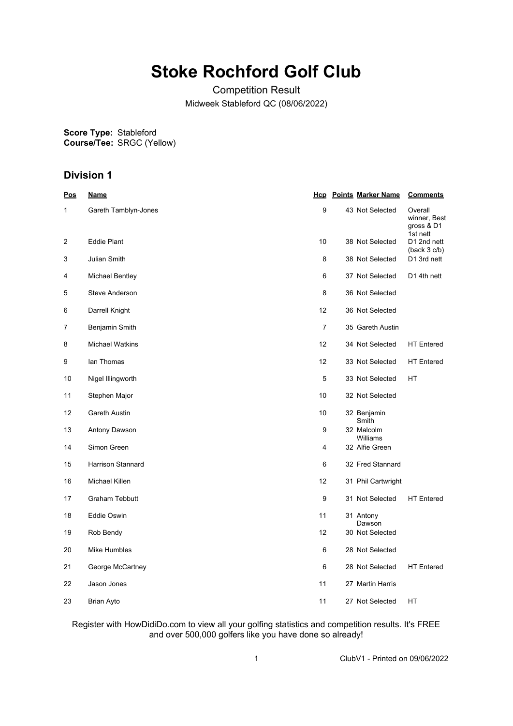# **Stoke Rochford Golf Club**

Competition Result Midweek Stableford QC (08/06/2022)

**Score Type: Course/Tee:** Stableford SRGC (Yellow)

# **Division 1**

| <u>Pos</u> | <u>Name</u>            |                 | <b>Hcp</b> Points Marker Name | <b>Comments</b>                                   |
|------------|------------------------|-----------------|-------------------------------|---------------------------------------------------|
| 1          | Gareth Tamblyn-Jones   | 9               | 43 Not Selected               | Overall<br>winner, Best<br>gross & D1<br>1st nett |
| 2          | <b>Eddie Plant</b>     | 10 <sup>1</sup> | 38 Not Selected               | D1 2nd nett<br>(back 3 c/b)                       |
| 3          | Julian Smith           | 8               | 38 Not Selected               | D1 3rd nett                                       |
| 4          | <b>Michael Bentley</b> | 6               | 37 Not Selected               | D1 4th nett                                       |
| 5          | <b>Steve Anderson</b>  | 8               | 36 Not Selected               |                                                   |
| 6          | Darrell Knight         | 12              | 36 Not Selected               |                                                   |
| 7          | Benjamin Smith         | $\overline{7}$  | 35 Gareth Austin              |                                                   |
| 8          | <b>Michael Watkins</b> | 12              | 34 Not Selected               | <b>HT</b> Entered                                 |
| 9          | lan Thomas             | 12              | 33 Not Selected               | <b>HT</b> Entered                                 |
| 10         | Nigel Illingworth      | 5               | 33 Not Selected               | HT                                                |
| 11         | Stephen Major          | 10              | 32 Not Selected               |                                                   |
| 12         | Gareth Austin          | 10 <sup>1</sup> | 32 Benjamin<br>Smith          |                                                   |
| 13         | Antony Dawson          | 9               | 32 Malcolm<br>Williams        |                                                   |
| 14         | Simon Green            | 4               | 32 Alfie Green                |                                                   |
| 15         | Harrison Stannard      | 6               | 32 Fred Stannard              |                                                   |
| 16         | Michael Killen         | 12              | 31 Phil Cartwright            |                                                   |
| 17         | <b>Graham Tebbutt</b>  | 9               | 31 Not Selected               | <b>HT</b> Entered                                 |
| 18         | Eddie Oswin            | 11              | 31 Antony<br>Dawson           |                                                   |
| 19         | Rob Bendy              | 12              | 30 Not Selected               |                                                   |
| 20         | Mike Humbles           | 6               | 28 Not Selected               |                                                   |
| 21         | George McCartney       | 6               | 28 Not Selected               | <b>HT</b> Entered                                 |
| 22         | Jason Jones            | 11              | 27 Martin Harris              |                                                   |
| 23         | Brian Ayto             | 11              | 27 Not Selected               | НT                                                |

Register with HowDidiDo.com to view all your golfing statistics and competition results. It's FREE and over 500,000 golfers like you have done so already!

1 ClubV1 - Printed on 09/06/2022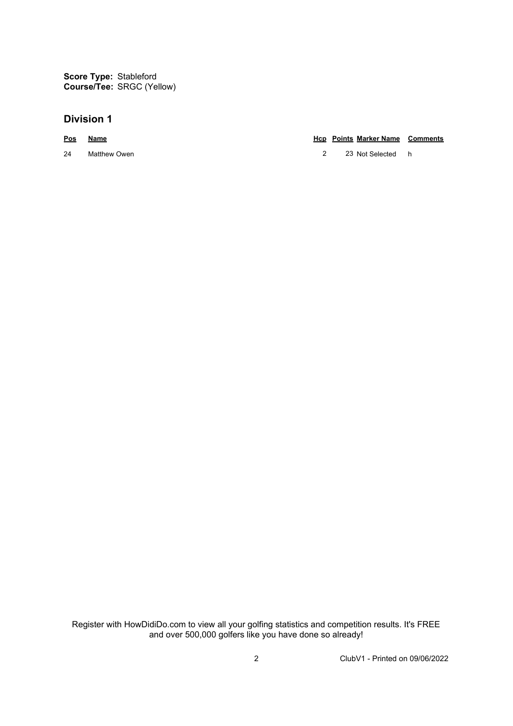## **Division 1**

#### **Pos Name Hcp Points Marker Name Comments**

24 Matthew Owen 22 23 Not Selected h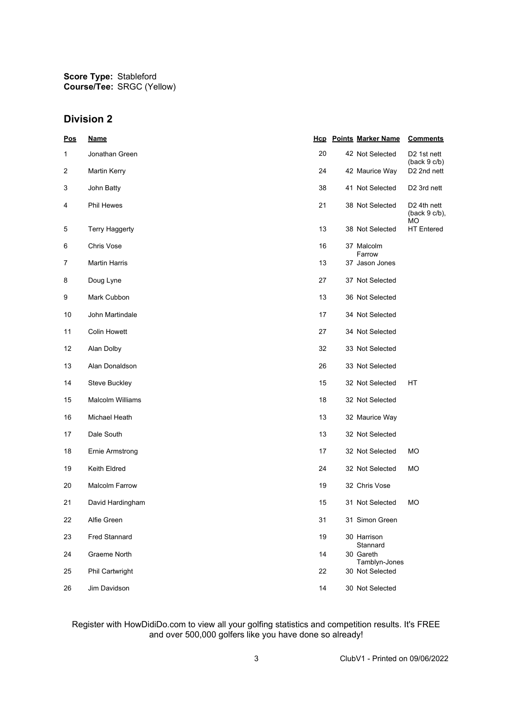## **Division 2**

| <u>Pos</u> | <u>Name</u>           |    | <b>Hcp</b> Points Marker Name    | <b>Comments</b>                                   |
|------------|-----------------------|----|----------------------------------|---------------------------------------------------|
| 1          | Jonathan Green        | 20 | 42 Not Selected                  | D <sub>2</sub> 1st nett<br>(back 9 c/b)           |
| 2          | <b>Martin Kerry</b>   | 24 | 42 Maurice Way                   | D <sub>2</sub> 2nd nett                           |
| 3          | John Batty            | 38 | 41 Not Selected                  | D <sub>2</sub> 3rd nett                           |
| 4          | <b>Phil Hewes</b>     | 21 | 38 Not Selected                  | D <sub>2</sub> 4th nett<br>$(back 9 c/b)$ ,<br>МO |
| 5          | <b>Terry Haggerty</b> | 13 | 38 Not Selected                  | <b>HT</b> Entered                                 |
| 6          | Chris Vose            | 16 | 37 Malcolm<br>Farrow             |                                                   |
| 7          | <b>Martin Harris</b>  | 13 | 37 Jason Jones                   |                                                   |
| 8          | Doug Lyne             | 27 | 37 Not Selected                  |                                                   |
| 9          | Mark Cubbon           | 13 | 36 Not Selected                  |                                                   |
| 10         | John Martindale       | 17 | 34 Not Selected                  |                                                   |
| 11         | <b>Colin Howett</b>   | 27 | 34 Not Selected                  |                                                   |
| 12         | Alan Dolby            | 32 | 33 Not Selected                  |                                                   |
| 13         | Alan Donaldson        | 26 | 33 Not Selected                  |                                                   |
| 14         | Steve Buckley         | 15 | 32 Not Selected                  | НT                                                |
| 15         | Malcolm Williams      | 18 | 32 Not Selected                  |                                                   |
| 16         | Michael Heath         | 13 | 32 Maurice Way                   |                                                   |
| 17         | Dale South            | 13 | 32 Not Selected                  |                                                   |
| 18         | Ernie Armstrong       | 17 | 32 Not Selected                  | МO                                                |
| 19         | Keith Eldred          | 24 | 32 Not Selected                  | МO                                                |
| 20         | <b>Malcolm Farrow</b> | 19 | 32 Chris Vose                    |                                                   |
| 21         | David Hardingham      | 15 | 31 Not Selected                  | МO                                                |
| 22         | Alfie Green           | 31 | 31 Simon Green                   |                                                   |
| 23         | <b>Fred Stannard</b>  | 19 | 30 Harrison                      |                                                   |
| 24         | Graeme North          | 14 | Stannard<br>30 Gareth            |                                                   |
| 25         | Phil Cartwright       | 22 | Tamblyn-Jones<br>30 Not Selected |                                                   |
| 26         | Jim Davidson          | 14 | 30 Not Selected                  |                                                   |
|            |                       |    |                                  |                                                   |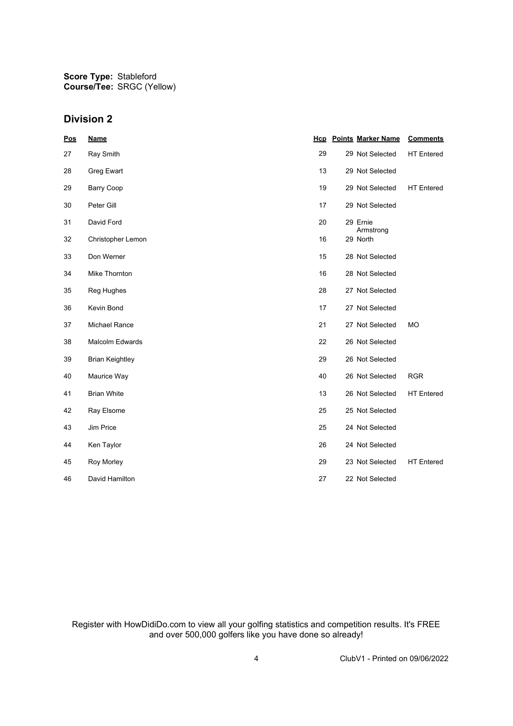## **Division 2**

| <u>Pos</u> | <b>Name</b>            | <u>Hcp</u> | <b>Points Marker Name</b> | <b>Comments</b>   |
|------------|------------------------|------------|---------------------------|-------------------|
| 27         | Ray Smith              | 29         | 29 Not Selected           | <b>HT</b> Entered |
| 28         | Greg Ewart             | 13         | 29 Not Selected           |                   |
| 29         | <b>Barry Coop</b>      | 19         | 29 Not Selected           | <b>HT</b> Entered |
| 30         | Peter Gill             | 17         | 29 Not Selected           |                   |
| 31         | David Ford             | 20         | 29 Ernie                  |                   |
| 32         | Christopher Lemon      | 16         | Armstrong<br>29 North     |                   |
| 33         | Don Werner             | 15         | 28 Not Selected           |                   |
| 34         | Mike Thornton          | 16         | 28 Not Selected           |                   |
| 35         | Reg Hughes             | 28         | 27 Not Selected           |                   |
| 36         | Kevin Bond             | 17         | 27 Not Selected           |                   |
| 37         | <b>Michael Rance</b>   | 21         | 27 Not Selected           | <b>MO</b>         |
| 38         | <b>Malcolm Edwards</b> | 22         | 26 Not Selected           |                   |
| 39         | <b>Brian Keightley</b> | 29         | 26 Not Selected           |                   |
| 40         | Maurice Way            | 40         | 26 Not Selected           | <b>RGR</b>        |
| 41         | <b>Brian White</b>     | 13         | 26 Not Selected           | <b>HT</b> Entered |
| 42         | Ray Elsome             | 25         | 25 Not Selected           |                   |
| 43         | Jim Price              | 25         | 24 Not Selected           |                   |
| 44         | Ken Taylor             | 26         | 24 Not Selected           |                   |
| 45         | Roy Morley             | 29         | 23 Not Selected           | <b>HT</b> Entered |
| 46         | David Hamilton         | 27         | 22 Not Selected           |                   |